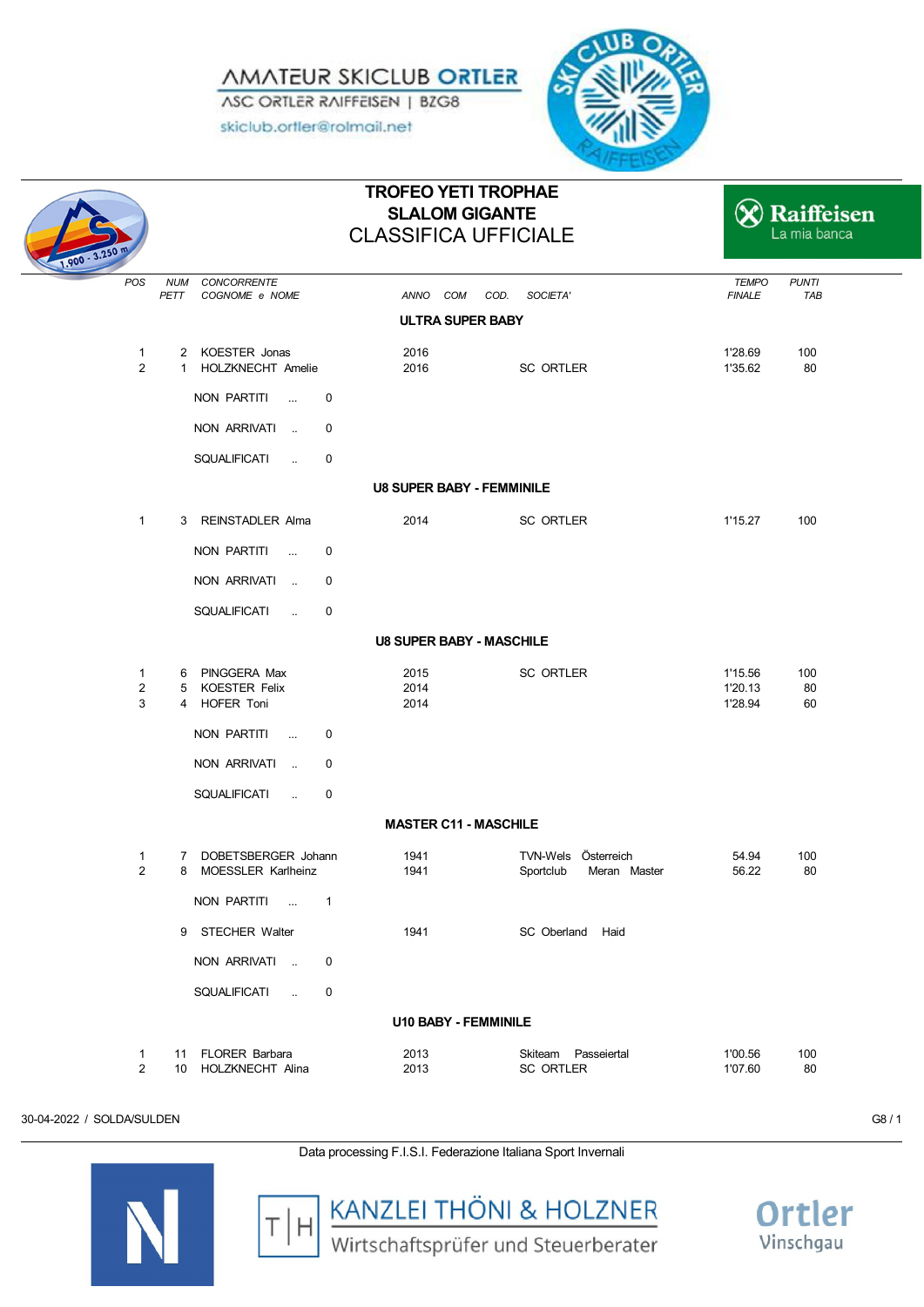*AMATEUR SKICLUB ORTLER* ASC ORTLER RAIFFEISEN | BZG8

skiclub.ortler@rolmail.net



| $1.900 - 3.250$                     |                                                     | <b>TROFEO YETI TROPHAE</b><br><b>SLALOM GIGANTE</b><br><b>CLASSIFICA UFFICIALE</b> |                                                  |                               | Raiffeisen<br>La mia banca |
|-------------------------------------|-----------------------------------------------------|------------------------------------------------------------------------------------|--------------------------------------------------|-------------------------------|----------------------------|
| POS                                 | <b>NUM</b><br>CONCORRENTE<br>PETT<br>COGNOME e NOME | ANNO COM                                                                           | COD.<br>SOCIETA'                                 | <b>TEMPO</b><br><b>FINALE</b> | <b>PUNTI</b><br>TAB        |
|                                     |                                                     | <b>ULTRA SUPER BABY</b>                                                            |                                                  |                               |                            |
| $\mathbf{1}$<br>$\overline{2}$      | 2 KOESTER Jonas<br>1 HOLZKNECHT Amelie              | 2016<br>2016                                                                       | SC ORTLER                                        | 1'28.69<br>1'35.62            | 100<br>80                  |
|                                     | NON PARTITI                                         | $\mathbf 0$                                                                        |                                                  |                               |                            |
|                                     | NON ARRIVATI                                        | $\mathbf 0$                                                                        |                                                  |                               |                            |
|                                     | SQUALIFICATI<br>$\sim 100$                          | 0                                                                                  |                                                  |                               |                            |
|                                     |                                                     | <b>U8 SUPER BABY - FEMMINILE</b>                                                   |                                                  |                               |                            |
| $\mathbf{1}$                        | 3 REINSTADLER Alma                                  | 2014                                                                               | SC ORTLER                                        | 1'15.27                       | 100                        |
|                                     | NON PARTITI<br>$\sim 100$                           | 0                                                                                  |                                                  |                               |                            |
|                                     | NON ARRIVATI                                        | $\mathbf 0$                                                                        |                                                  |                               |                            |
|                                     | <b>SQUALIFICATI</b><br>$\sim 10^{-1}$               | $\mathbf 0$                                                                        |                                                  |                               |                            |
|                                     |                                                     | <b>U8 SUPER BABY - MASCHILE</b>                                                    |                                                  |                               |                            |
| $\mathbf{1}$<br>$\overline{2}$<br>3 | 6 PINGGERA Max<br>5 KOESTER Felix<br>4 HOFER Toni   | 2015<br>2014<br>2014                                                               | SC ORTLER                                        | 1'15.56<br>1'20.13<br>1'28.94 | 100<br>80<br>60            |
|                                     | NON PARTITI                                         | $\mathbf 0$                                                                        |                                                  |                               |                            |
|                                     | NON ARRIVATI                                        | $\mathbf 0$                                                                        |                                                  |                               |                            |
|                                     | SQUALIFICATI<br>$\sim 100$                          | 0                                                                                  |                                                  |                               |                            |
|                                     |                                                     | <b>MASTER C11 - MASCHILE</b>                                                       |                                                  |                               |                            |
| $\mathbf{1}$<br>$\overline{2}$      | 7 DOBETSBERGER Johann<br>MOESSLER Karlheinz<br>8    | 1941<br>1941                                                                       | TVN-Wels Österreich<br>Sportclub<br>Meran Master | 54.94<br>56.22                | 100<br>80                  |
|                                     | NON PARTITI                                         | $\mathbf{1}$                                                                       |                                                  |                               |                            |
|                                     | 9 STECHER Walter                                    | 1941                                                                               | SC Oberland Haid                                 |                               |                            |
|                                     | NON ARRIVATI                                        | $\mathbf 0$                                                                        |                                                  |                               |                            |
|                                     | SQUALIFICATI<br>$\sim 100$                          | 0                                                                                  |                                                  |                               |                            |
|                                     |                                                     | <b>U10 BABY - FEMMINILE</b>                                                        |                                                  |                               |                            |
| $\mathbf{1}$<br>$\overline{2}$      | 11 FLORER Barbara<br>10 HOLZKNECHT Alina            | 2013<br>2013                                                                       | Skiteam Passeiertal<br>SC ORTLER                 | 1'00.56<br>1'07.60            | 100<br>80                  |

30-04-2022 / SOLDA/SULDEN G8 / 1

Data processing F.I.S.I. Federazione Italiana Sport Invernali





**KANZLEI THÖNI & HOLZNER**<br>Wirtschaftsprüfer und Steuerberater

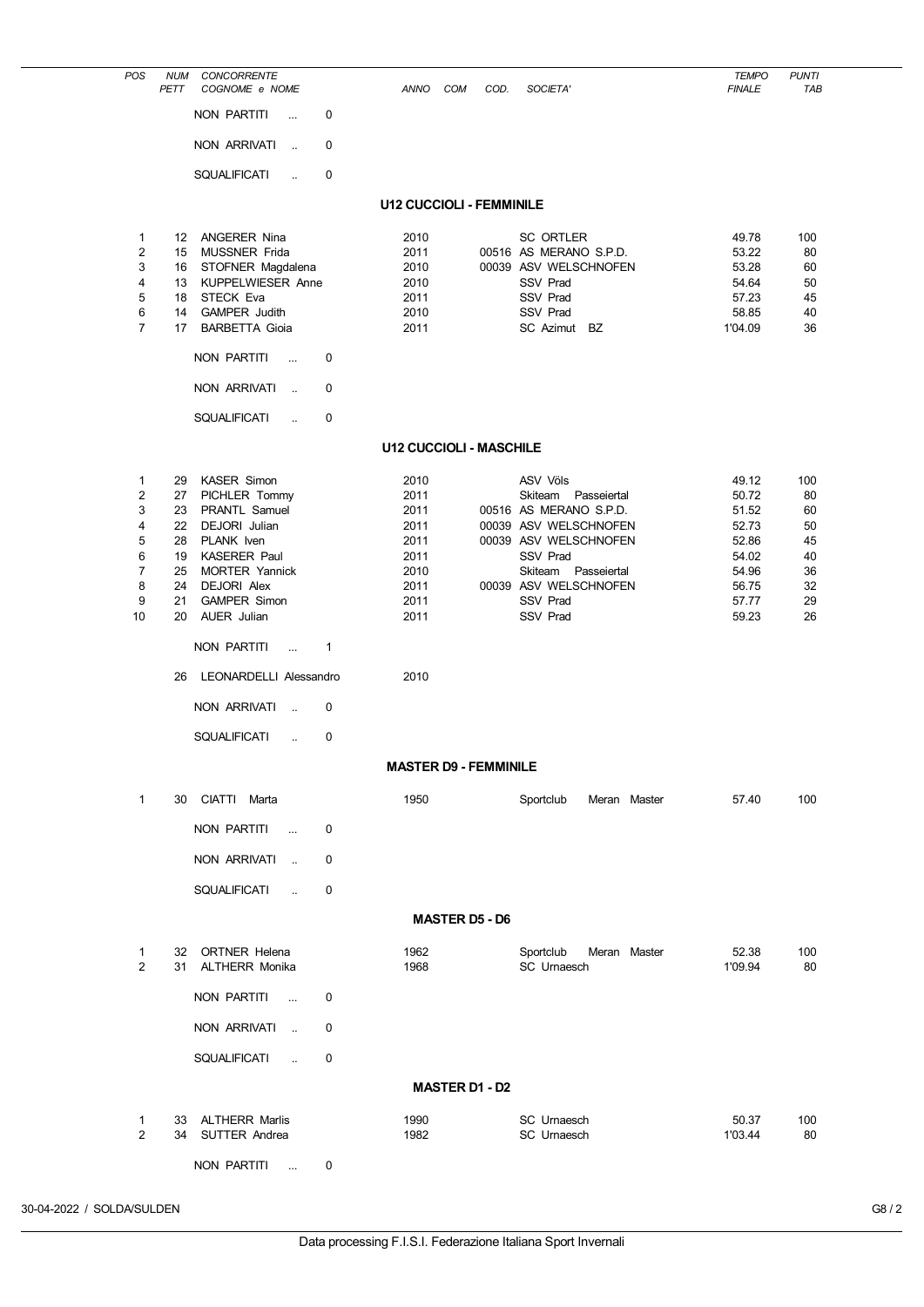| POS                            | <b>NUM</b><br>PETT | <b>CONCORRENTE</b><br>COGNOME e NOME        |   | <b>ANNO</b>                     | <b>COM</b>            | COD. | SOCIETA'                                       | <b>TEMPO</b><br><b>FINALE</b> | <b>PUNTI</b><br><b>TAB</b> |
|--------------------------------|--------------------|---------------------------------------------|---|---------------------------------|-----------------------|------|------------------------------------------------|-------------------------------|----------------------------|
|                                |                    | <b>NON PARTITI</b><br>$\ddot{\phantom{a}}$  | 0 |                                 |                       |      |                                                |                               |                            |
|                                |                    | NON ARRIVATI<br>ä.                          | 0 |                                 |                       |      |                                                |                               |                            |
|                                |                    | <b>SQUALIFICATI</b><br>$\ddot{\phantom{a}}$ | 0 |                                 |                       |      |                                                |                               |                            |
|                                |                    |                                             |   | <b>U12 CUCCIOLI - FEMMINILE</b> |                       |      |                                                |                               |                            |
| 1                              | 12                 | <b>ANGERER Nina</b>                         |   | 2010                            |                       |      | SC ORTLER                                      | 49.78                         | 100                        |
| $\overline{2}$                 | 15                 | MUSSNER Frida                               |   | 2011                            |                       |      | 00516 AS MERANO S.P.D.                         | 53.22                         | 80                         |
| 3                              | 16                 | STOFNER Magdalena                           |   | 2010                            |                       |      | 00039 ASV WELSCHNOFEN                          | 53.28                         | 60                         |
| 4<br>5                         | 13<br>18           | KUPPELWIESER Anne<br><b>STECK Eva</b>       |   | 2010<br>2011                    |                       |      | <b>SSV Prad</b><br><b>SSV Prad</b>             | 54.64<br>57.23                | 50<br>45                   |
| 6                              | 14                 | <b>GAMPER Judith</b>                        |   | 2010                            |                       |      | <b>SSV Prad</b>                                | 58.85                         | 40                         |
| $\overline{7}$                 | 17                 | <b>BARBETTA Gioia</b>                       |   | 2011                            |                       |      | SC Azimut BZ                                   | 1'04.09                       | 36                         |
|                                |                    | <b>NON PARTITI</b><br>$\ddotsc$             | 0 |                                 |                       |      |                                                |                               |                            |
|                                |                    | <b>NON ARRIVATI</b><br>ä.                   | 0 |                                 |                       |      |                                                |                               |                            |
|                                |                    | <b>SQUALIFICATI</b><br>$\ddot{\phantom{a}}$ | 0 |                                 |                       |      |                                                |                               |                            |
|                                |                    |                                             |   | <b>U12 CUCCIOLI - MASCHILE</b>  |                       |      |                                                |                               |                            |
| $\mathbf{1}$                   | 29                 | KASER Simon                                 |   | 2010                            |                       |      | <b>ASV Völs</b>                                | 49.12                         | 100                        |
| $\overline{2}$                 | 27                 | PICHLER Tommy                               |   | 2011                            |                       |      | Skiteam<br>Passeiertal                         | 50.72                         | 80                         |
| 3                              | 23                 | PRANTL Samuel                               |   | 2011                            |                       |      | 00516 AS MERANO S.P.D.                         | 51.52                         | 60                         |
| 4<br>5                         | 22<br>28           | DEJORI Julian<br>PLANK Iven                 |   | 2011<br>2011                    |                       |      | 00039 ASV WELSCHNOFEN<br>00039 ASV WELSCHNOFEN | 52.73<br>52.86                | 50<br>45                   |
| 6                              | 19                 | <b>KASERER Paul</b>                         |   | 2011                            |                       |      | SSV Prad                                       | 54.02                         | 40                         |
| $\overline{7}$                 | 25                 | <b>MORTER Yannick</b>                       |   | 2010                            |                       |      | Skiteam Passeiertal                            | 54.96                         | 36                         |
| 8                              | 24                 | <b>DEJORI Alex</b>                          |   | 2011                            |                       |      | 00039 ASV WELSCHNOFEN                          | 56.75                         | 32                         |
| 9<br>10                        | 21<br>20           | <b>GAMPER Simon</b><br><b>AUER Julian</b>   |   | 2011<br>2011                    |                       |      | SSV Prad<br><b>SSV Prad</b>                    | 57.77<br>59.23                | 29<br>26                   |
|                                |                    | <b>NON PARTITI</b><br>$\ddotsc$             | 1 |                                 |                       |      |                                                |                               |                            |
|                                | 26                 | LEONARDELLI Alessandro                      |   | 2010                            |                       |      |                                                |                               |                            |
|                                |                    | <b>NON ARRIVATI</b><br>$\ddot{\phantom{a}}$ | 0 |                                 |                       |      |                                                |                               |                            |
|                                |                    | <b>SQUALIFICATI</b><br>ä.                   | 0 |                                 |                       |      |                                                |                               |                            |
|                                |                    |                                             |   | <b>MASTER D9 - FEMMINILE</b>    |                       |      |                                                |                               |                            |
| $\mathbf{1}$                   |                    | 30 CIATTI Marta                             |   | 1950                            |                       |      | Sportclub<br>Meran Master                      | 57.40                         | 100                        |
|                                |                    | NON PARTITI<br>$\sim$                       | 0 |                                 |                       |      |                                                |                               |                            |
|                                |                    | NON ARRIVATI<br>$\ddot{\phantom{a}}$        | 0 |                                 |                       |      |                                                |                               |                            |
|                                |                    | SQUALIFICATI<br>$\ddot{\phantom{a}}$        | 0 |                                 |                       |      |                                                |                               |                            |
|                                |                    |                                             |   |                                 | <b>MASTER D5 - D6</b> |      |                                                |                               |                            |
| $\mathbf{1}$<br>$\overline{2}$ |                    | 32 ORTNER Helena<br>31 ALTHERR Monika       |   | 1962<br>1968                    |                       |      | Sportclub<br>Meran Master<br>SC Urnaesch       | 52.38<br>1'09.94              | 100<br>80                  |
|                                |                    | NON PARTITI<br>$\sim$                       | 0 |                                 |                       |      |                                                |                               |                            |
|                                |                    | NON ARRIVATI<br>$\mathbf{r}$                | 0 |                                 |                       |      |                                                |                               |                            |
|                                |                    | <b>SQUALIFICATI</b><br>$\ddot{\phantom{a}}$ | 0 |                                 |                       |      |                                                |                               |                            |
|                                |                    |                                             |   |                                 | <b>MASTER D1 - D2</b> |      |                                                |                               |                            |
| 1<br>$\overline{2}$            | 33                 | ALTHERR Marlis<br>34 SUTTER Andrea          |   | 1990<br>1982                    |                       |      | SC Urnaesch<br>SC Urnaesch                     | 50.37<br>1'03.44              | 100<br>80                  |
|                                |                    | NON PARTITI<br>$\ddotsc$                    | 0 |                                 |                       |      |                                                |                               |                            |

30-04-2022 / SOLDA/SULDEN G8 / 2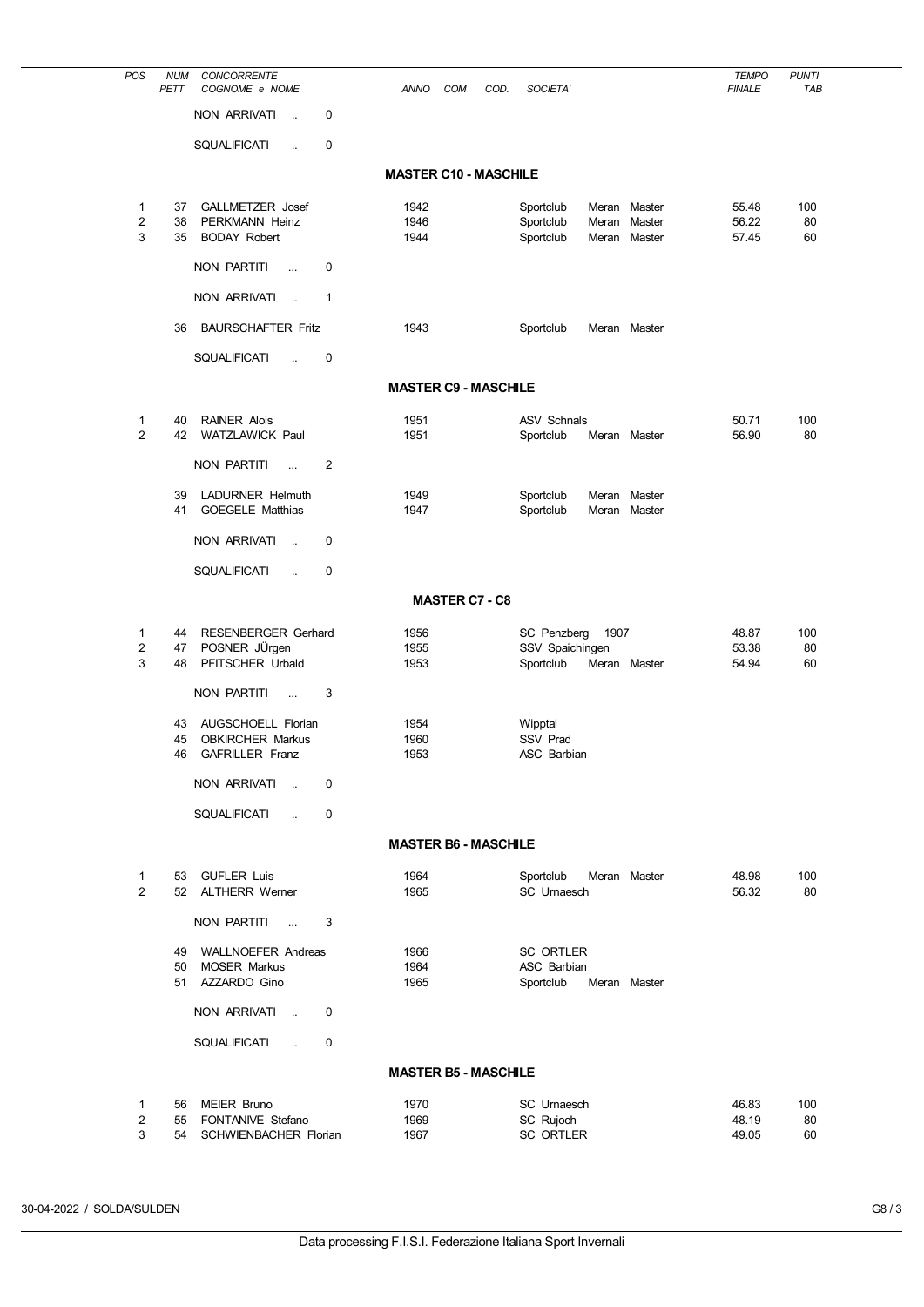| POS                 | <b>NUM</b><br>PETT | <b>CONCORRENTE</b><br>COGNOME e NOME                       | ANNO                         | COM                   | COD. | SOCIETA'                               |                |                  | <b>TEMPO</b><br><b>FINALE</b> | <b>PUNTI</b><br>TAB |
|---------------------|--------------------|------------------------------------------------------------|------------------------------|-----------------------|------|----------------------------------------|----------------|------------------|-------------------------------|---------------------|
|                     |                    | <b>NON ARRIVATI</b><br>$\mathbf 0$<br>$\sim$               |                              |                       |      |                                        |                |                  |                               |                     |
|                     |                    | <b>SQUALIFICATI</b><br>$\mathbf 0$<br>$\ddot{\phantom{a}}$ |                              |                       |      |                                        |                |                  |                               |                     |
|                     |                    |                                                            | <b>MASTER C10 - MASCHILE</b> |                       |      |                                        |                |                  |                               |                     |
| 1                   | 37                 | GALLMETZER Josef                                           | 1942                         |                       |      | Sportclub                              |                | Meran Master     | 55.48                         | 100                 |
| $\overline{2}$<br>3 | 38<br>35           | PERKMANN Heinz<br><b>BODAY Robert</b>                      | 1946<br>1944                 |                       |      | Sportclub<br>Sportclub                 | Meran<br>Meran | Master<br>Master | 56.22<br>57.45                | 80<br>60            |
|                     |                    | <b>NON PARTITI</b><br>0<br>                                |                              |                       |      |                                        |                |                  |                               |                     |
|                     |                    | NON ARRIVATI<br>$\mathbf 1$<br>$\sim$                      |                              |                       |      |                                        |                |                  |                               |                     |
|                     | 36                 | <b>BAURSCHAFTER Fritz</b>                                  | 1943                         |                       |      | Sportclub                              |                | Meran Master     |                               |                     |
|                     |                    |                                                            |                              |                       |      |                                        |                |                  |                               |                     |
|                     |                    | SQUALIFICATI<br>$\mathbf 0$<br>ä.                          |                              |                       |      |                                        |                |                  |                               |                     |
|                     |                    |                                                            | <b>MASTER C9 - MASCHILE</b>  |                       |      |                                        |                |                  |                               |                     |
| 1<br>$\overline{2}$ | 40<br>42           | <b>RAINER Alois</b><br><b>WATZLAWICK Paul</b>              | 1951<br>1951                 |                       |      | <b>ASV Schnals</b><br>Sportclub        |                | Meran Master     | 50.71<br>56.90                | 100<br>80           |
|                     |                    | <b>NON PARTITI</b><br>$\overline{2}$<br>$\ddotsc$          |                              |                       |      |                                        |                |                  |                               |                     |
|                     | 39                 | LADURNER Helmuth                                           | 1949                         |                       |      | Sportclub                              | Meran          | Master           |                               |                     |
|                     | 41                 | <b>GOEGELE Matthias</b>                                    | 1947                         |                       |      | Sportclub                              | Meran          | Master           |                               |                     |
|                     |                    | <b>NON ARRIVATI</b><br>$\mathbf 0$<br>$\ddot{\phantom{a}}$ |                              |                       |      |                                        |                |                  |                               |                     |
|                     |                    | <b>SQUALIFICATI</b><br>$\mathbf 0$<br>ä.                   |                              |                       |      |                                        |                |                  |                               |                     |
|                     |                    |                                                            |                              | <b>MASTER C7 - C8</b> |      |                                        |                |                  |                               |                     |
| 1<br>2              | 44<br>47           | RESENBERGER Gerhard<br>POSNER JÜrgen                       | 1956<br>1955                 |                       |      | SC Penzberg<br>SSV Spaichingen         | 1907           |                  | 48.87<br>53.38                | 100<br>80           |
| 3                   | 48                 | PFITSCHER Urbald                                           | 1953                         |                       |      | Sportclub                              |                | Meran Master     | 54.94                         | 60                  |
|                     |                    | <b>NON PARTITI</b><br>3<br>                                |                              |                       |      |                                        |                |                  |                               |                     |
|                     | 43                 | AUGSCHOELL Florian                                         | 1954                         |                       |      | Wipptal                                |                |                  |                               |                     |
|                     | 45<br>46           | <b>OBKIRCHER Markus</b><br><b>GAFRILLER Franz</b>          | 1960<br>1953                 |                       |      | <b>SSV Prad</b><br><b>ASC Barbian</b>  |                |                  |                               |                     |
|                     |                    | NON ARRIVATI<br>$\mathbf 0$                                |                              |                       |      |                                        |                |                  |                               |                     |
|                     |                    | <b>SQUALIFICATI</b><br>0                                   |                              |                       |      |                                        |                |                  |                               |                     |
|                     |                    |                                                            | <b>MASTER B6 - MASCHILE</b>  |                       |      |                                        |                |                  |                               |                     |
| 1                   |                    | 53 GUFLER Luis                                             | 1964                         |                       |      | Sportclub                              |                | Meran Master     | 48.98                         | 100                 |
| $\overline{2}$      |                    | 52 ALTHERR Werner                                          | 1965                         |                       |      | SC Urnaesch                            |                |                  | 56.32                         | 80                  |
|                     |                    | NON PARTITI<br>3<br>$\sim$                                 |                              |                       |      |                                        |                |                  |                               |                     |
|                     | 49<br>50           | <b>WALLNOEFER Andreas</b><br><b>MOSER Markus</b>           | 1966<br>1964                 |                       |      | <b>SC ORTLER</b><br><b>ASC Barbian</b> |                |                  |                               |                     |
|                     | 51                 | AZZARDO Gino                                               | 1965                         |                       |      | Sportclub                              |                | Meran Master     |                               |                     |
|                     |                    | NON ARRIVATI<br>0<br>$\sim$                                |                              |                       |      |                                        |                |                  |                               |                     |
|                     |                    | <b>SQUALIFICATI</b><br>0<br>$\ddot{\phantom{a}}$           |                              |                       |      |                                        |                |                  |                               |                     |
|                     |                    |                                                            | <b>MASTER B5 - MASCHILE</b>  |                       |      |                                        |                |                  |                               |                     |
| 1                   | 56                 | <b>MEIER Bruno</b>                                         | 1970                         |                       |      | <b>SC</b> Urnaesch                     |                |                  | 46.83                         | 100                 |
| 2<br>3              | 55<br>54           | FONTANIVE Stefano<br>SCHWIENBACHER Florian                 | 1969<br>1967                 |                       |      | SC Rujoch<br><b>SC ORTLER</b>          |                |                  | 48.19<br>49.05                | 80<br>60            |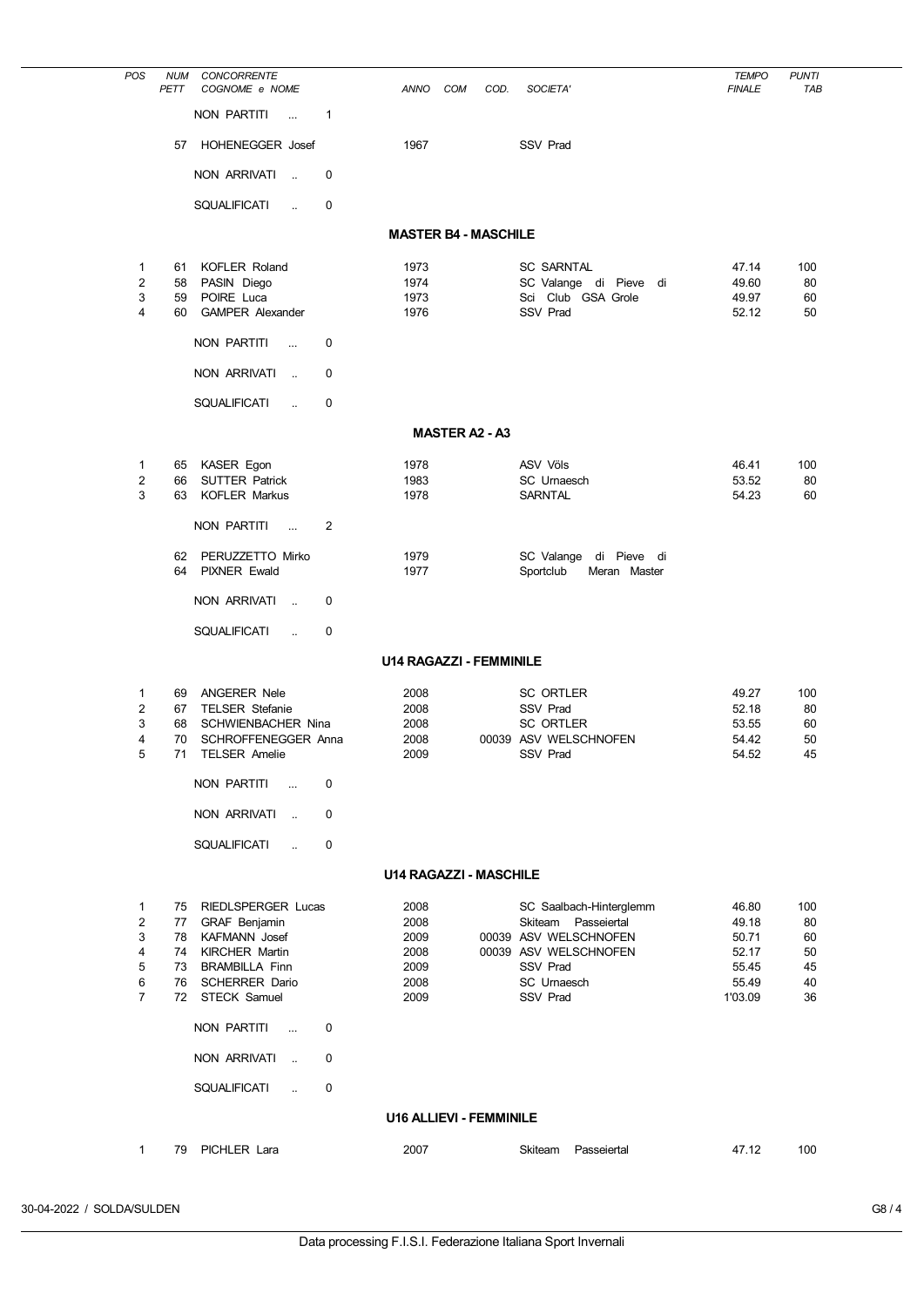| POS                 | <b>NUM</b><br>PETT | <b>CONCORRENTE</b><br>COGNOME e NOME                |                | <b>ANNO</b>  | <b>COM</b><br>COD.             | SOCIETA'                                            | <b>TEMPO</b><br><b>FINALE</b> | <b>PUNTI</b><br>TAB |
|---------------------|--------------------|-----------------------------------------------------|----------------|--------------|--------------------------------|-----------------------------------------------------|-------------------------------|---------------------|
|                     |                    | NON PARTITI<br>$\ddot{\phantom{a}}$                 | 1              |              |                                |                                                     |                               |                     |
|                     | 57                 | HOHENEGGER Josef                                    |                | 1967         |                                | SSV Prad                                            |                               |                     |
|                     |                    | NON ARRIVATI<br>$\ddot{\phantom{a}}$                | 0              |              |                                |                                                     |                               |                     |
|                     |                    | <b>SQUALIFICATI</b><br>$\ddot{\phantom{a}}$         | 0              |              |                                |                                                     |                               |                     |
|                     |                    |                                                     |                |              | <b>MASTER B4 - MASCHILE</b>    |                                                     |                               |                     |
|                     |                    |                                                     |                |              |                                |                                                     |                               |                     |
| 1<br>$\overline{2}$ | 61<br>58           | <b>KOFLER Roland</b><br>PASIN Diego                 |                | 1973<br>1974 |                                | <b>SC SARNTAL</b><br>SC Valange di Pieve<br>di      | 47.14<br>49.60                | 100<br>80           |
| 3                   | 59                 | POIRE Luca                                          |                | 1973         |                                | Sci Club GSA Grole                                  | 49.97                         | 60                  |
| 4                   | 60                 | <b>GAMPER Alexander</b>                             |                | 1976         |                                | SSV Prad                                            | 52.12                         | 50                  |
|                     |                    | <b>NON PARTITI</b><br>$\ddotsc$                     | 0              |              |                                |                                                     |                               |                     |
|                     |                    | <b>NON ARRIVATI</b><br>$\ddot{\phantom{a}}$         | 0              |              |                                |                                                     |                               |                     |
|                     |                    | <b>SQUALIFICATI</b><br>$\ddot{\phantom{a}}$         | 0              |              |                                |                                                     |                               |                     |
|                     |                    |                                                     |                |              | <b>MASTER A2 - A3</b>          |                                                     |                               |                     |
| 1                   | 65                 | KASER Egon                                          |                | 1978         |                                | <b>ASV Völs</b>                                     | 46.41                         | 100                 |
| $\overline{c}$<br>3 | 66<br>63           | <b>SUTTER Patrick</b><br><b>KOFLER Markus</b>       |                | 1983<br>1978 |                                | SC Urnaesch<br>SARNTAL                              | 53.52<br>54.23                | 80<br>60            |
|                     |                    |                                                     |                |              |                                |                                                     |                               |                     |
|                     |                    | NON PARTITI<br>$\ddot{\phantom{a}}$                 | $\overline{2}$ |              |                                |                                                     |                               |                     |
|                     | 62<br>64           | PERUZZETTO Mirko<br><b>PIXNER Ewald</b>             |                | 1979<br>1977 |                                | SC Valange di Pieve di<br>Sportclub<br>Meran Master |                               |                     |
|                     |                    |                                                     |                |              |                                |                                                     |                               |                     |
|                     |                    | NON ARRIVATI<br>$\ddot{\phantom{a}}$                | 0              |              |                                |                                                     |                               |                     |
|                     |                    | <b>SQUALIFICATI</b><br>$\ddot{\phantom{a}}$         | 0              |              |                                |                                                     |                               |                     |
|                     |                    |                                                     |                |              | <b>U14 RAGAZZI - FEMMINILE</b> |                                                     |                               |                     |
| 1                   | 69                 | <b>ANGERER Nele</b>                                 |                | 2008         |                                | <b>SC ORTLER</b>                                    | 49.27                         | 100                 |
| $\overline{2}$<br>3 | 67<br>68           | <b>TELSER Stefanie</b><br><b>SCHWIENBACHER Nina</b> |                | 2008<br>2008 |                                | SSV Prad<br><b>SC ORTLER</b>                        | 52.18<br>53.55                | 80<br>60            |
| 4                   | 70                 | SCHROFFENEGGER Anna                                 |                | 2008         |                                | 00039 ASV WELSCHNOFEN                               | 54.42                         | 50                  |
| 5                   | 71                 | <b>TELSER Amelie</b>                                |                | 2009         |                                | SSV Prad                                            | 54.52                         | 45                  |
|                     |                    | NON PARTITI<br>$\ddotsc$                            | 0              |              |                                |                                                     |                               |                     |
|                     |                    | <b>NON ARRIVATI</b><br>$\ddot{\phantom{a}}$         | $\Omega$       |              |                                |                                                     |                               |                     |
|                     |                    | <b>SQUALIFICATI</b>                                 | 0              |              |                                |                                                     |                               |                     |
|                     |                    |                                                     |                |              | <b>U14 RAGAZZI - MASCHILE</b>  |                                                     |                               |                     |
| 1                   | 75                 | <b>RIEDLSPERGER Lucas</b>                           |                | 2008         |                                | SC Saalbach-Hinterglemm                             | 46.80                         | 100                 |
| $\overline{2}$      | 77                 | <b>GRAF Benjamin</b>                                |                | 2008         |                                | Skiteam Passeiertal                                 | 49.18                         | 80                  |
| 3<br>4              | 78<br>74           | <b>KAFMANN</b> Josef<br><b>KIRCHER Martin</b>       |                | 2009<br>2008 |                                | 00039 ASV WELSCHNOFEN<br>00039 ASV WELSCHNOFEN      | 50.71<br>52.17                | 60<br>50            |
| 5                   | 73                 | <b>BRAMBILLA Finn</b>                               |                | 2009         |                                | <b>SSV Prad</b>                                     | 55.45                         | 45                  |
| 6                   | 76                 | <b>SCHERRER Dario</b>                               |                | 2008         |                                | SC Urnaesch                                         | 55.49                         | 40                  |
| $\overline{7}$      | 72                 | STECK Samuel                                        |                | 2009         |                                | SSV Prad                                            | 1'03.09                       | 36                  |
|                     |                    | <b>NON PARTITI</b><br>$\ddotsc$                     | 0              |              |                                |                                                     |                               |                     |
|                     |                    | <b>NON ARRIVATI</b><br>$\ddot{\phantom{a}}$         | 0              |              |                                |                                                     |                               |                     |
|                     |                    | <b>SQUALIFICATI</b><br>$\ddot{\phantom{a}}$         | 0              |              |                                |                                                     |                               |                     |
|                     |                    |                                                     |                |              | <b>U16 ALLIEVI - FEMMINILE</b> |                                                     |                               |                     |
| 1                   | 79                 | PICHLER Lara                                        |                | 2007         |                                | Skiteam<br>Passeiertal                              | 47.12                         | 100                 |